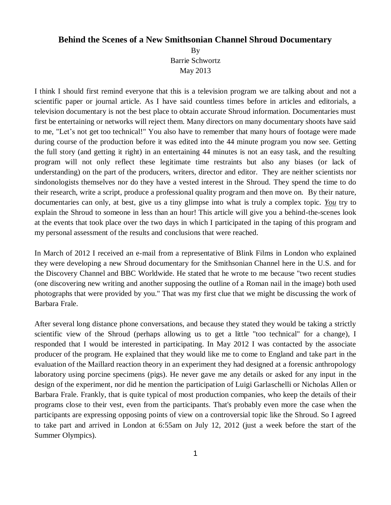## **Behind the Scenes of a New Smithsonian Channel Shroud Documentary**

By Barrie Schwortz May 2013

I think I should first remind everyone that this is a television program we are talking about and not a scientific paper or journal article. As I have said countless times before in articles and editorials, a television documentary is not the best place to obtain accurate Shroud information. Documentaries must first be entertaining or networks will reject them. Many directors on many documentary shoots have said to me, "Let's not get too technical!" You also have to remember that many hours of footage were made during course of the production before it was edited into the 44 minute program you now see. Getting the full story (and getting it right) in an entertaining 44 minutes is not an easy task, and the resulting program will not only reflect these legitimate time restraints but also any biases (or lack of understanding) on the part of the producers, writers, director and editor. They are neither scientists nor sindonologists themselves nor do they have a vested interest in the Shroud. They spend the time to do their research, write a script, produce a professional quality program and then move on. By their nature, documentaries can only, at best, give us a tiny glimpse into what is truly a complex topic. *You* try to explain the Shroud to someone in less than an hour! This article will give you a behind-the-scenes look at the events that took place over the two days in which I participated in the taping of this program and my personal assessment of the results and conclusions that were reached.

In March of 2012 I received an e-mail from a representative of Blink Films in London who explained they were developing a new Shroud documentary for the Smithsonian Channel here in the U.S. and for the Discovery Channel and BBC Worldwide. He stated that he wrote to me because "two recent studies (one discovering new writing and another supposing the outline of a Roman nail in the image) both used photographs that were provided by you." That was my first clue that we might be discussing the work of Barbara Frale.

After several long distance phone conversations, and because they stated they would be taking a strictly scientific view of the Shroud (perhaps allowing us to get a little "too technical" for a change), I responded that I would be interested in participating. In May 2012 I was contacted by the associate producer of the program. He explained that they would like me to come to England and take part in the evaluation of the Maillard reaction theory in an experiment they had designed at a forensic anthropology laboratory using porcine specimens (pigs). He never gave me any details or asked for any input in the design of the experiment, nor did he mention the participation of Luigi Garlaschelli or Nicholas Allen or Barbara Frale. Frankly, that is quite typical of most production companies, who keep the details of their programs close to their vest, even from the participants. That's probably even more the case when the participants are expressing opposing points of view on a controversial topic like the Shroud. So I agreed to take part and arrived in London at 6:55am on July 12, 2012 (just a week before the start of the Summer Olympics).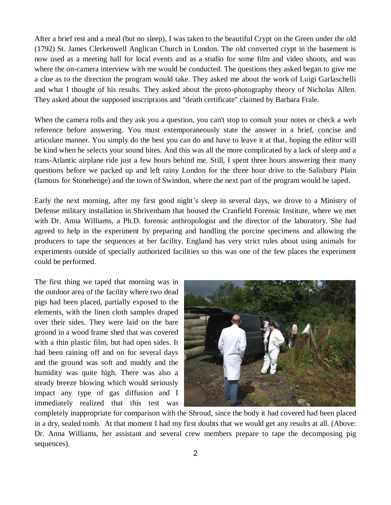After a brief rest and a meal (but no sleep), I was taken to the beautiful Crypt on the Green under the old (1792) St. James Clerkenwell Anglican Church in London. The old converted crypt in the basement is now used as a meeting hall for local events and as a studio for some film and video shoots, and was where the on-camera interview with me would be conducted. The questions they asked began to give me a clue as to the direction the program would take. They asked me about the work of Luigi Garlaschelli and what I thought of his results. They asked about the proto-photography theory of Nicholas Allen. They asked about the supposed inscriptions and "death certificate" claimed by Barbara Frale.

When the camera rolls and they ask you a question, you can't stop to consult your notes or check a web reference before answering. You must extemporaneously state the answer in a brief, concise and articulate manner. You simply do the best you can do and have to leave it at that, hoping the editor will be kind when he selects your sound bites. And this was all the more complicated by a lack of sleep and a trans-Atlantic airplane ride just a few hours behind me. Still, I spent three hours answering their many questions before we packed up and left rainy London for the three hour drive to the Salisbury Plain (famous for Stonehenge) and the town of Swindon, where the next part of the program would be taped.

Early the next morning, after my first good night's sleep in several days, we drove to a Ministry of Defense military installation in Shrivenham that housed the Cranfield Forensic Institute, where we met with Dr. Anna Williams, a Ph.D. forensic anthropologist and the director of the laboratory. She had agreed to help in the experiment by preparing and handling the porcine specimens and allowing the producers to tape the sequences at her facility. England has very strict rules about using animals for experiments outside of specially authorized facilities so this was one of the few places the experiment could be performed.

The first thing we taped that morning was in the outdoor area of the facility where two dead pigs had been placed, partially exposed to the elements, with the linen cloth samples draped over their sides. They were laid on the bare ground in a wood frame shed that was covered with a thin plastic film, but had open sides. It had been raining off and on for several days and the ground was soft and muddy and the humidity was quite high. There was also a steady breeze blowing which would seriously impact any type of gas diffusion and I immediately realized that this test was



completely inappropriate for comparison with the Shroud, since the body it had covered had been placed in a dry, sealed tomb. At that moment I had my first doubts that we would get any results at all. (Above: Dr. Anna Williams, her assistant and several crew members prepare to tape the decomposing pig sequences).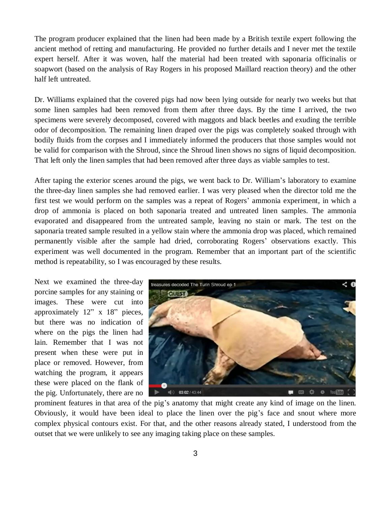The program producer explained that the linen had been made by a British textile expert following the ancient method of retting and manufacturing. He provided no further details and I never met the textile expert herself. After it was woven, half the material had been treated with saponaria officinalis or soapwort (based on the analysis of Ray Rogers in his proposed Maillard reaction theory) and the other half left untreated.

Dr. Williams explained that the covered pigs had now been lying outside for nearly two weeks but that some linen samples had been removed from them after three days. By the time I arrived, the two specimens were severely decomposed, covered with maggots and black beetles and exuding the terrible odor of decomposition. The remaining linen draped over the pigs was completely soaked through with bodily fluids from the corpses and I immediately informed the producers that those samples would not be valid for comparison with the Shroud, since the Shroud linen shows no signs of liquid decomposition. That left only the linen samples that had been removed after three days as viable samples to test.

After taping the exterior scenes around the pigs, we went back to Dr. William's laboratory to examine the three-day linen samples she had removed earlier. I was very pleased when the director told me the first test we would perform on the samples was a repeat of Rogers' ammonia experiment, in which a drop of ammonia is placed on both saponaria treated and untreated linen samples. The ammonia evaporated and disappeared from the untreated sample, leaving no stain or mark. The test on the saponaria treated sample resulted in a yellow stain where the ammonia drop was placed, which remained permanently visible after the sample had dried, corroborating Rogers' observations exactly. This experiment was well documented in the program. Remember that an important part of the scientific method is repeatability, so I was encouraged by these results.

Next we examined the three-day porcine samples for any staining or images. These were cut into approximately 12" x 18" pieces, but there was no indication of where on the pigs the linen had lain. Remember that I was not present when these were put in place or removed. However, from watching the program, it appears these were placed on the flank of the pig. Unfortunately, there are no



prominent features in that area of the pig's anatomy that might create any kind of image on the linen. Obviously, it would have been ideal to place the linen over the pig's face and snout where more complex physical contours exist. For that, and the other reasons already stated, I understood from the outset that we were unlikely to see any imaging taking place on these samples.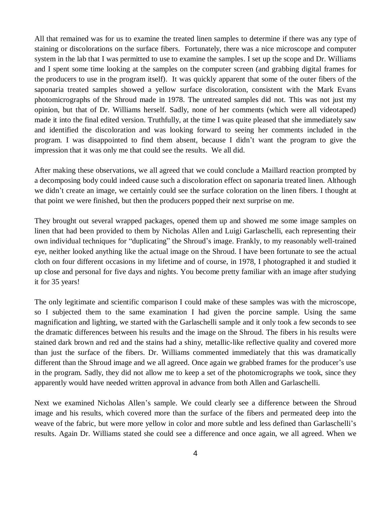All that remained was for us to examine the treated linen samples to determine if there was any type of staining or discolorations on the surface fibers. Fortunately, there was a nice microscope and computer system in the lab that I was permitted to use to examine the samples. I set up the scope and Dr. Williams and I spent some time looking at the samples on the computer screen (and grabbing digital frames for the producers to use in the program itself). It was quickly apparent that some of the outer fibers of the saponaria treated samples showed a yellow surface discoloration, consistent with the Mark Evans photomicrographs of the Shroud made in 1978. The untreated samples did not. This was not just my opinion, but that of Dr. Williams herself. Sadly, none of her comments (which were all videotaped) made it into the final edited version. Truthfully, at the time I was quite pleased that she immediately saw and identified the discoloration and was looking forward to seeing her comments included in the program. I was disappointed to find them absent, because I didn't want the program to give the impression that it was only me that could see the results. We all did.

After making these observations, we all agreed that we could conclude a Maillard reaction prompted by a decomposing body could indeed cause such a discoloration effect on saponaria treated linen. Although we didn't create an image, we certainly could see the surface coloration on the linen fibers. I thought at that point we were finished, but then the producers popped their next surprise on me.

They brought out several wrapped packages, opened them up and showed me some image samples on linen that had been provided to them by Nicholas Allen and Luigi Garlaschelli, each representing their own individual techniques for "duplicating" the Shroud's image. Frankly, to my reasonably well-trained eye, neither looked anything like the actual image on the Shroud. I have been fortunate to see the actual cloth on four different occasions in my lifetime and of course, in 1978, I photographed it and studied it up close and personal for five days and nights. You become pretty familiar with an image after studying it for 35 years!

The only legitimate and scientific comparison I could make of these samples was with the microscope, so I subjected them to the same examination I had given the porcine sample. Using the same magnification and lighting, we started with the Garlaschelli sample and it only took a few seconds to see the dramatic differences between his results and the image on the Shroud. The fibers in his results were stained dark brown and red and the stains had a shiny, metallic-like reflective quality and covered more than just the surface of the fibers. Dr. Williams commented immediately that this was dramatically different than the Shroud image and we all agreed. Once again we grabbed frames for the producer's use in the program. Sadly, they did not allow me to keep a set of the photomicrographs we took, since they apparently would have needed written approval in advance from both Allen and Garlaschelli.

Next we examined Nicholas Allen's sample. We could clearly see a difference between the Shroud image and his results, which covered more than the surface of the fibers and permeated deep into the weave of the fabric, but were more yellow in color and more subtle and less defined than Garlaschelli's results. Again Dr. Williams stated she could see a difference and once again, we all agreed. When we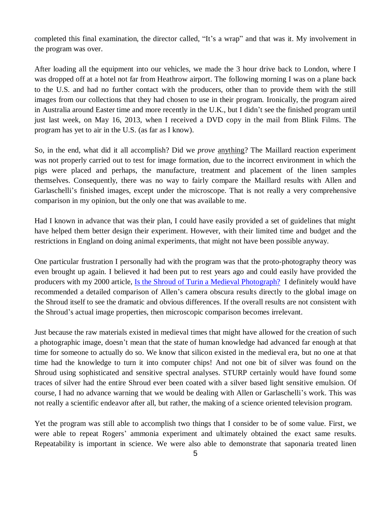completed this final examination, the director called, "It's a wrap" and that was it. My involvement in the program was over.

After loading all the equipment into our vehicles, we made the 3 hour drive back to London, where I was dropped off at a hotel not far from Heathrow airport. The following morning I was on a plane back to the U.S. and had no further contact with the producers, other than to provide them with the still images from our collections that they had chosen to use in their program. Ironically, the program aired in Australia around Easter time and more recently in the U.K., but I didn't see the finished program until just last week, on May 16, 2013, when I received a DVD copy in the mail from Blink Films. The program has yet to air in the U.S. (as far as I know).

So, in the end, what did it all accomplish? Did we *prove* anything? The Maillard reaction experiment was not properly carried out to test for image formation, due to the incorrect environment in which the pigs were placed and perhaps, the manufacture, treatment and placement of the linen samples themselves. Consequently, there was no way to fairly compare the Maillard results with Allen and Garlaschelli's finished images, except under the microscope. That is not really a very comprehensive comparison in my opinion, but the only one that was available to me.

Had I known in advance that was their plan, I could have easily provided a set of guidelines that might have helped them better design their experiment. However, with their limited time and budget and the restrictions in England on doing animal experiments, that might not have been possible anyway.

One particular frustration I personally had with the program was that the proto-photography theory was even brought up again. I believed it had been put to rest years ago and could easily have provided the producers with my 2000 article, [Is the Shroud of Turin a Medieval Photograph?](http://www.shroud.com/pdfs/orvieto.pdf) I definitely would have recommended a detailed comparison of Allen's camera obscura results directly to the global image on the Shroud itself to see the dramatic and obvious differences. If the overall results are not consistent with the Shroud's actual image properties, then microscopic comparison becomes irrelevant.

Just because the raw materials existed in medieval times that might have allowed for the creation of such a photographic image, doesn't mean that the state of human knowledge had advanced far enough at that time for someone to actually do so. We know that silicon existed in the medieval era, but no one at that time had the knowledge to turn it into computer chips! And not one bit of silver was found on the Shroud using sophisticated and sensitive spectral analyses. STURP certainly would have found some traces of silver had the entire Shroud ever been coated with a silver based light sensitive emulsion. Of course, I had no advance warning that we would be dealing with Allen or Garlaschelli's work. This was not really a scientific endeavor after all, but rather, the making of a science oriented television program.

Yet the program was still able to accomplish two things that I consider to be of some value. First, we were able to repeat Rogers' ammonia experiment and ultimately obtained the exact same results. Repeatability is important in science. We were also able to demonstrate that saponaria treated linen